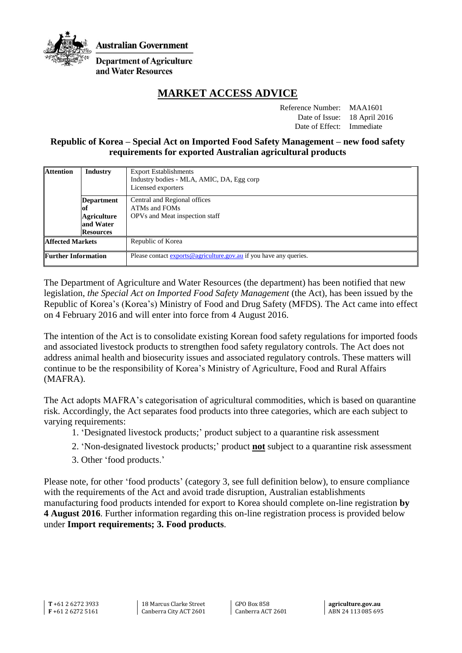

**Australian Government** 

**Department of Agriculture** and Water Resources

# **MARKET ACCESS ADVICE**

Reference Number: MAA1601 Date of Issue: 18 April 2016 Date of Effect: Immediate

### **Republic of Korea – Special Act on Imported Food Safety Management – new food safety requirements for exported Australian agricultural products**

| <b>Attention</b>           | <b>Industry</b>    | <b>Export Establishments</b><br>Industry bodies - MLA, AMIC, DA, Egg corp<br>Licensed exporters |
|----------------------------|--------------------|-------------------------------------------------------------------------------------------------|
|                            | Department         | Central and Regional offices                                                                    |
|                            | lof                | ATMs and FOMs                                                                                   |
|                            | <b>Agriculture</b> | OPVs and Meat inspection staff                                                                  |
|                            | and Water          |                                                                                                 |
|                            | <b>Resources</b>   |                                                                                                 |
| <b>Affected Markets</b>    |                    | Republic of Korea                                                                               |
| <b>Further Information</b> |                    | Please contact exports@agriculture.gov.au if you have any queries.                              |

The Department of Agriculture and Water Resources (the department) has been notified that new legislation, *the Special Act on Imported Food Safety Management* (the Act), has been issued by the Republic of Korea's (Korea's) Ministry of Food and Drug Safety (MFDS). The Act came into effect on 4 February 2016 and will enter into force from 4 August 2016.

The intention of the Act is to consolidate existing Korean food safety regulations for imported foods and associated livestock products to strengthen food safety regulatory controls. The Act does not address animal health and biosecurity issues and associated regulatory controls. These matters will continue to be the responsibility of Korea's Ministry of Agriculture, Food and Rural Affairs (MAFRA).

The Act adopts MAFRA's categorisation of agricultural commodities, which is based on quarantine risk. Accordingly, the Act separates food products into three categories, which are each subject to varying requirements:

- 1. 'Designated livestock products;' product subject to a quarantine risk assessment
- 2. 'Non-designated livestock products;' product **not** subject to a quarantine risk assessment
- 3. Other 'food products.'

Please note, for other 'food products' (category 3, see full definition below), to ensure compliance with the requirements of the Act and avoid trade disruption, Australian establishments manufacturing food products intended for export to Korea should complete on-line registration **by 4 August 2016**. Further information regarding this on-line registration process is provided below under **Import requirements; 3. Food products**.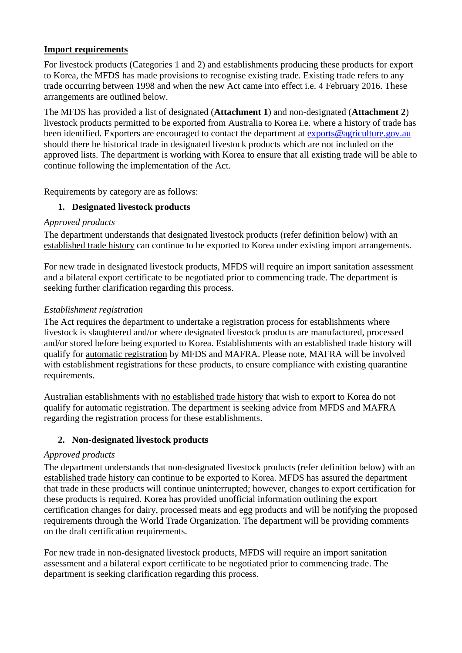# **Import requirements**

For livestock products (Categories 1 and 2) and establishments producing these products for export to Korea, the MFDS has made provisions to recognise existing trade. Existing trade refers to any trade occurring between 1998 and when the new Act came into effect i.e. 4 February 2016. These arrangements are outlined below.

The MFDS has provided a list of designated (**Attachment 1**) and non-designated (**Attachment 2**) livestock products permitted to be exported from Australia to Korea i.e. where a history of trade has been identified. Exporters are encouraged to contact the department at [exports@agriculture.gov.au](mailto:exports@agriculture.gov.au) should there be historical trade in designated livestock products which are not included on the approved lists. The department is working with Korea to ensure that all existing trade will be able to continue following the implementation of the Act.

Requirements by category are as follows:

# **1. Designated livestock products**

### *Approved products*

The department understands that designated livestock products (refer definition below) with an established trade history can continue to be exported to Korea under existing import arrangements.

For new trade in designated livestock products, MFDS will require an import sanitation assessment and a bilateral export certificate to be negotiated prior to commencing trade. The department is seeking further clarification regarding this process.

### *Establishment registration*

The Act requires the department to undertake a registration process for establishments where livestock is slaughtered and/or where designated livestock products are manufactured, processed and/or stored before being exported to Korea. Establishments with an established trade history will qualify for automatic registration by MFDS and MAFRA. Please note, MAFRA will be involved with establishment registrations for these products, to ensure compliance with existing quarantine requirements.

Australian establishments with no established trade history that wish to export to Korea do not qualify for automatic registration. The department is seeking advice from MFDS and MAFRA regarding the registration process for these establishments.

### **2. Non-designated livestock products**

#### *Approved products*

The department understands that non-designated livestock products (refer definition below) with an established trade history can continue to be exported to Korea. MFDS has assured the department that trade in these products will continue uninterrupted; however, changes to export certification for these products is required. Korea has provided unofficial information outlining the export certification changes for dairy, processed meats and egg products and will be notifying the proposed requirements through the World Trade Organization. The department will be providing comments on the draft certification requirements.

For new trade in non-designated livestock products, MFDS will require an import sanitation assessment and a bilateral export certificate to be negotiated prior to commencing trade. The department is seeking clarification regarding this process.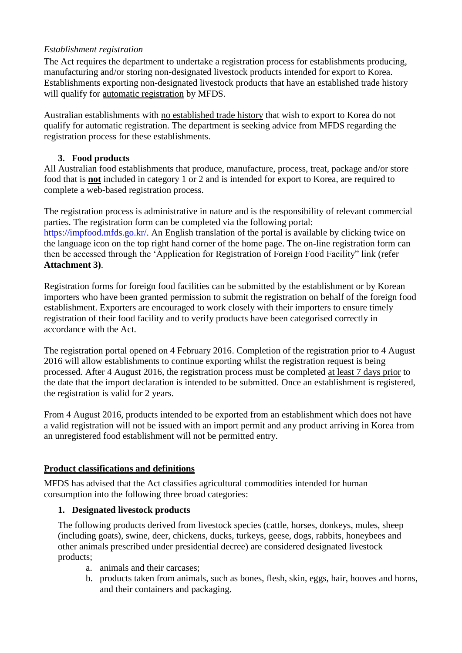# *Establishment registration*

The Act requires the department to undertake a registration process for establishments producing, manufacturing and/or storing non-designated livestock products intended for export to Korea. Establishments exporting non-designated livestock products that have an established trade history will qualify for automatic registration by MFDS.

Australian establishments with no established trade history that wish to export to Korea do not qualify for automatic registration. The department is seeking advice from MFDS regarding the registration process for these establishments.

# **3. Food products**

All Australian food establishments that produce, manufacture, process, treat, package and/or store food that is **not** included in category 1 or 2 and is intended for export to Korea, are required to complete a web-based registration process.

The registration process is administrative in nature and is the responsibility of relevant commercial parties. The registration form can be completed via the following portal: [https://impfood.mfds.go.kr/.](https://impfood.mfds.go.kr/) An English translation of the portal is available by clicking twice on the language icon on the top right hand corner of the home page. The on-line registration form can then be accessed through the 'Application for Registration of Foreign Food Facility" link (refer **Attachment 3)**.

Registration forms for foreign food facilities can be submitted by the establishment or by Korean importers who have been granted permission to submit the registration on behalf of the foreign food establishment. Exporters are encouraged to work closely with their importers to ensure timely registration of their food facility and to verify products have been categorised correctly in accordance with the Act.

The registration portal opened on 4 February 2016. Completion of the registration prior to 4 August 2016 will allow establishments to continue exporting whilst the registration request is being processed. After 4 August 2016, the registration process must be completed at least 7 days prior to the date that the import declaration is intended to be submitted. Once an establishment is registered, the registration is valid for 2 years.

From 4 August 2016, products intended to be exported from an establishment which does not have a valid registration will not be issued with an import permit and any product arriving in Korea from an unregistered food establishment will not be permitted entry.

# **Product classifications and definitions**

MFDS has advised that the Act classifies agricultural commodities intended for human consumption into the following three broad categories:

### **1. Designated livestock products**

The following products derived from livestock species (cattle, horses, donkeys, mules, sheep (including goats), swine, deer, chickens, ducks, turkeys, geese, dogs, rabbits, honeybees and other animals prescribed under presidential decree) are considered designated livestock products;

- a. animals and their carcases;
- b. products taken from animals, such as bones, flesh, skin, eggs, hair, hooves and horns, and their containers and packaging.